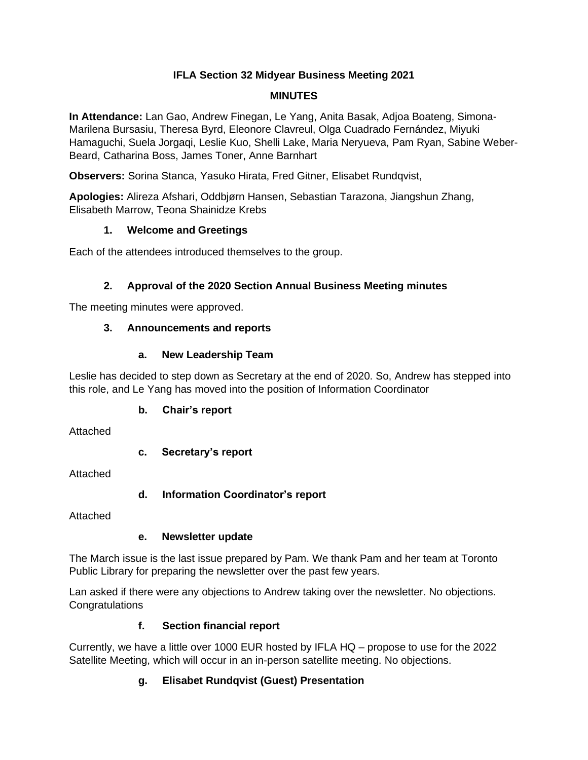### **IFLA Section 32 Midyear Business Meeting 2021**

#### **MINUTES**

**In Attendance:** Lan Gao, Andrew Finegan, Le Yang, Anita Basak, Adjoa Boateng, Simona-Marilena Bursasiu, Theresa Byrd, Eleonore Clavreul, Olga Cuadrado Fernández, Miyuki Hamaguchi, Suela Jorgaqi, Leslie Kuo, Shelli Lake, Maria Neryueva, Pam Ryan, Sabine Weber-Beard, Catharina Boss, James Toner, Anne Barnhart

**Observers:** Sorina Stanca, Yasuko Hirata, Fred Gitner, Elisabet Rundqvist,

**Apologies:** Alireza Afshari, Oddbjørn Hansen, Sebastian Tarazona, Jiangshun Zhang, Elisabeth Marrow, Teona Shainidze Krebs

#### **1. Welcome and Greetings**

Each of the attendees introduced themselves to the group.

### **2. Approval of the 2020 Section Annual Business Meeting minutes**

The meeting minutes were approved.

### **3. Announcements and reports**

#### **a. New Leadership Team**

Leslie has decided to step down as Secretary at the end of 2020. So, Andrew has stepped into this role, and Le Yang has moved into the position of Information Coordinator

### **b. Chair's report**

Attached

### **c. Secretary's report**

Attached

### **d. Information Coordinator's report**

Attached

### **e. Newsletter update**

The March issue is the last issue prepared by Pam. We thank Pam and her team at Toronto Public Library for preparing the newsletter over the past few years.

Lan asked if there were any objections to Andrew taking over the newsletter. No objections. **Congratulations** 

### **f. Section financial report**

Currently, we have a little over 1000 EUR hosted by IFLA HQ – propose to use for the 2022 Satellite Meeting, which will occur in an in-person satellite meeting. No objections.

# **g. Elisabet Rundqvist (Guest) Presentation**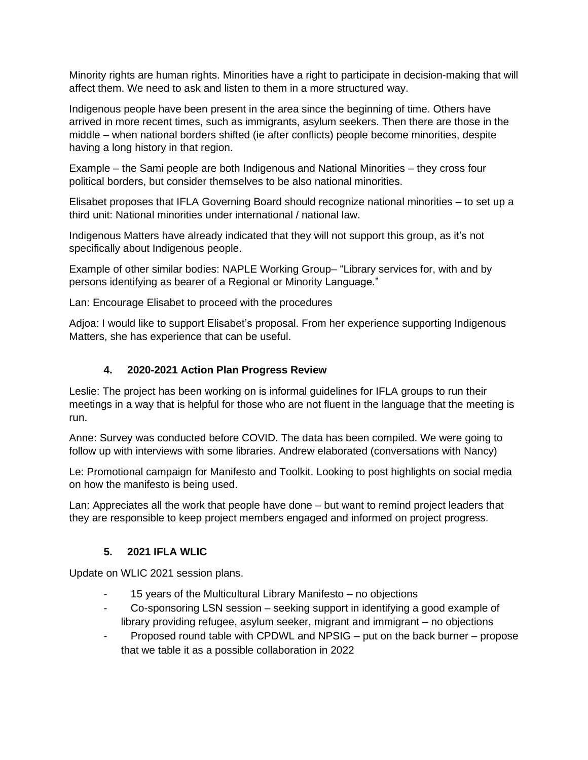Minority rights are human rights. Minorities have a right to participate in decision-making that will affect them. We need to ask and listen to them in a more structured way.

Indigenous people have been present in the area since the beginning of time. Others have arrived in more recent times, such as immigrants, asylum seekers. Then there are those in the middle – when national borders shifted (ie after conflicts) people become minorities, despite having a long history in that region.

Example – the Sami people are both Indigenous and National Minorities – they cross four political borders, but consider themselves to be also national minorities.

Elisabet proposes that IFLA Governing Board should recognize national minorities – to set up a third unit: National minorities under international / national law.

Indigenous Matters have already indicated that they will not support this group, as it's not specifically about Indigenous people.

Example of other similar bodies: NAPLE Working Group– "Library services for, with and by persons identifying as bearer of a Regional or Minority Language."

Lan: Encourage Elisabet to proceed with the procedures

Adjoa: I would like to support Elisabet's proposal. From her experience supporting Indigenous Matters, she has experience that can be useful.

### **4. 2020-2021 Action Plan Progress Review**

Leslie: The project has been working on is informal guidelines for IFLA groups to run their meetings in a way that is helpful for those who are not fluent in the language that the meeting is run.

Anne: Survey was conducted before COVID. The data has been compiled. We were going to follow up with interviews with some libraries. Andrew elaborated (conversations with Nancy)

Le: Promotional campaign for Manifesto and Toolkit. Looking to post highlights on social media on how the manifesto is being used.

Lan: Appreciates all the work that people have done – but want to remind project leaders that they are responsible to keep project members engaged and informed on project progress.

### **5. 2021 IFLA WLIC**

Update on WLIC 2021 session plans.

- 15 years of the Multicultural Library Manifesto no objections
- Co-sponsoring LSN session seeking support in identifying a good example of library providing refugee, asylum seeker, migrant and immigrant – no objections
- Proposed round table with CPDWL and NPSIG put on the back burner propose that we table it as a possible collaboration in 2022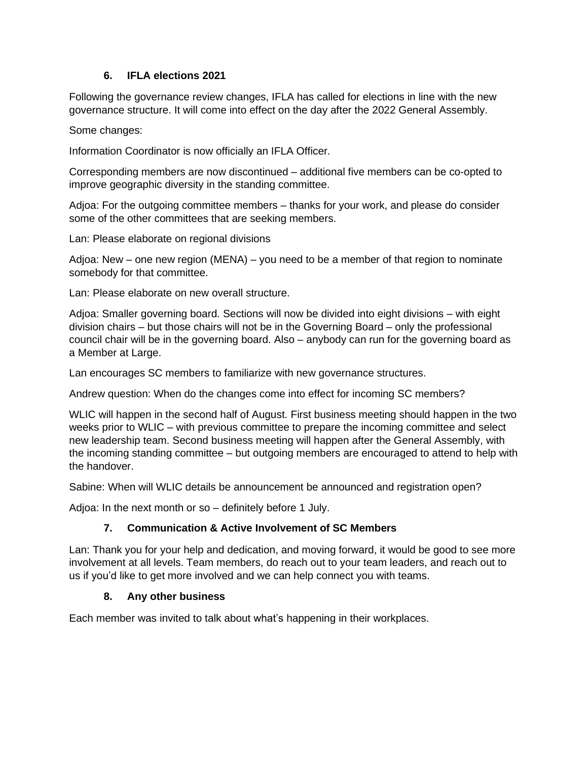#### **6. IFLA elections 2021**

Following the governance review changes, IFLA has called for elections in line with the new governance structure. It will come into effect on the day after the 2022 General Assembly.

Some changes:

Information Coordinator is now officially an IFLA Officer.

Corresponding members are now discontinued – additional five members can be co-opted to improve geographic diversity in the standing committee.

Adjoa: For the outgoing committee members – thanks for your work, and please do consider some of the other committees that are seeking members.

Lan: Please elaborate on regional divisions

Adjoa: New – one new region (MENA) – you need to be a member of that region to nominate somebody for that committee.

Lan: Please elaborate on new overall structure.

Adjoa: Smaller governing board. Sections will now be divided into eight divisions – with eight division chairs – but those chairs will not be in the Governing Board – only the professional council chair will be in the governing board. Also – anybody can run for the governing board as a Member at Large.

Lan encourages SC members to familiarize with new governance structures.

Andrew question: When do the changes come into effect for incoming SC members?

WLIC will happen in the second half of August. First business meeting should happen in the two weeks prior to WLIC – with previous committee to prepare the incoming committee and select new leadership team. Second business meeting will happen after the General Assembly, with the incoming standing committee – but outgoing members are encouraged to attend to help with the handover.

Sabine: When will WLIC details be announcement be announced and registration open?

Adjoa: In the next month or so – definitely before 1 July.

### **7. Communication & Active Involvement of SC Members**

Lan: Thank you for your help and dedication, and moving forward, it would be good to see more involvement at all levels. Team members, do reach out to your team leaders, and reach out to us if you'd like to get more involved and we can help connect you with teams.

#### **8. Any other business**

Each member was invited to talk about what's happening in their workplaces.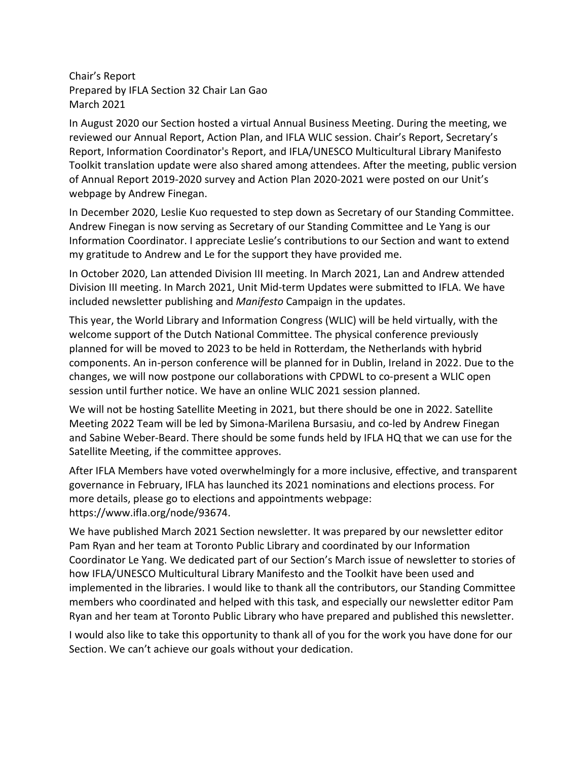Chair's Report Prepared by IFLA Section 32 Chair Lan Gao March 2021

In August 2020 our Section hosted a virtual Annual Business Meeting. During the meeting, we reviewed our Annual Report, Action Plan, and IFLA WLIC session. Chair's Report, Secretary's Report, Information Coordinator's Report, and IFLA/UNESCO Multicultural Library Manifesto Toolkit translation update were also shared among attendees. After the meeting, public version of Annual Report 2019-2020 survey and Action Plan 2020-2021 were posted on our Unit's webpage by Andrew Finegan.

In December 2020, Leslie Kuo requested to step down as Secretary of our Standing Committee. Andrew Finegan is now serving as Secretary of our Standing Committee and Le Yang is our Information Coordinator. I appreciate Leslie's contributions to our Section and want to extend my gratitude to Andrew and Le for the support they have provided me.

In October 2020, Lan attended Division III meeting. In March 2021, Lan and Andrew attended Division III meeting. In March 2021, Unit Mid-term Updates were submitted to IFLA. We have included newsletter publishing and *Manifesto* Campaign in the updates.

This year, the World Library and Information Congress (WLIC) will be held virtually, with the welcome support of the Dutch National Committee. The physical conference previously planned for will be moved to 2023 to be held in Rotterdam, the Netherlands with hybrid components. An in-person conference will be planned for in Dublin, Ireland in 2022. Due to the changes, we will now postpone our collaborations with CPDWL to co-present a WLIC open session until further notice. We have an online WLIC 2021 session planned.

We will not be hosting Satellite Meeting in 2021, but there should be one in 2022. Satellite Meeting 2022 Team will be led by Simona-Marilena Bursasiu, and co-led by Andrew Finegan and Sabine Weber-Beard. There should be some funds held by IFLA HQ that we can use for the Satellite Meeting, if the committee approves.

After IFLA Members have voted overwhelmingly for a more inclusive, effective, and transparent governance in February, IFLA has launched its 2021 nominations and elections process. For more details, please go to elections and appointments webpage: https://www.ifla.org/node/93674.

We have published March 2021 Section newsletter. It was prepared by our newsletter editor Pam Ryan and her team at Toronto Public Library and coordinated by our Information Coordinator Le Yang. We dedicated part of our Section's March issue of newsletter to stories of how IFLA/UNESCO Multicultural Library Manifesto and the Toolkit have been used and implemented in the libraries. I would like to thank all the contributors, our Standing Committee members who coordinated and helped with this task, and especially our newsletter editor Pam Ryan and her team at Toronto Public Library who have prepared and published this newsletter.

I would also like to take this opportunity to thank all of you for the work you have done for our Section. We can't achieve our goals without your dedication.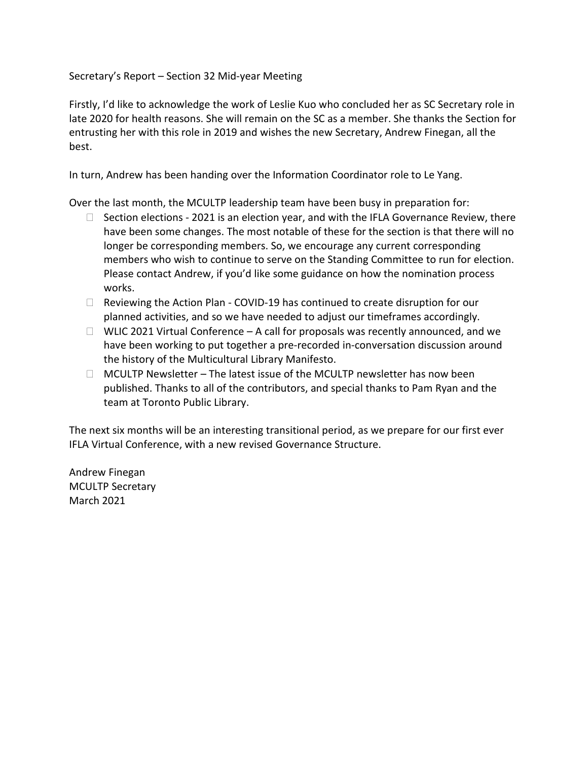Secretary's Report – Section 32 Mid-year Meeting

Firstly, I'd like to acknowledge the work of Leslie Kuo who concluded her as SC Secretary role in late 2020 for health reasons. She will remain on the SC as a member. She thanks the Section for entrusting her with this role in 2019 and wishes the new Secretary, Andrew Finegan, all the best.

In turn, Andrew has been handing over the Information Coordinator role to Le Yang.

Over the last month, the MCULTP leadership team have been busy in preparation for:

- $\Box$  Section elections 2021 is an election year, and with the IFLA Governance Review, there have been some changes. The most notable of these for the section is that there will no longer be corresponding members. So, we encourage any current corresponding members who wish to continue to serve on the Standing Committee to run for election. Please contact Andrew, if you'd like some guidance on how the nomination process works.
- $\Box$  Reviewing the Action Plan COVID-19 has continued to create disruption for our planned activities, and so we have needed to adjust our timeframes accordingly.
- $\Box$  WLIC 2021 Virtual Conference A call for proposals was recently announced, and we have been working to put together a pre-recorded in-conversation discussion around the history of the Multicultural Library Manifesto.
- $\Box$  MCULTP Newsletter The latest issue of the MCULTP newsletter has now been published. Thanks to all of the contributors, and special thanks to Pam Ryan and the team at Toronto Public Library.

The next six months will be an interesting transitional period, as we prepare for our first ever IFLA Virtual Conference, with a new revised Governance Structure.

Andrew Finegan MCULTP Secretary March 2021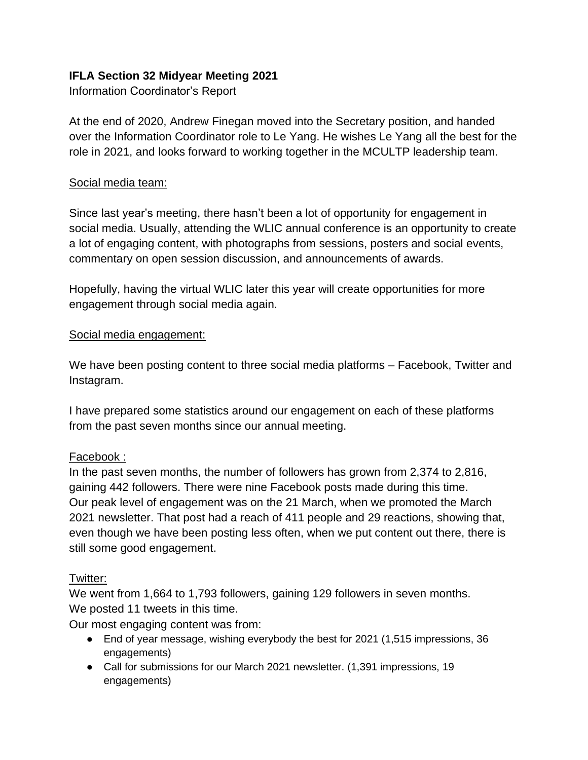# **IFLA Section 32 Midyear Meeting 2021**

Information Coordinator's Report

At the end of 2020, Andrew Finegan moved into the Secretary position, and handed over the Information Coordinator role to Le Yang. He wishes Le Yang all the best for the role in 2021, and looks forward to working together in the MCULTP leadership team.

### Social media team:

Since last year's meeting, there hasn't been a lot of opportunity for engagement in social media. Usually, attending the WLIC annual conference is an opportunity to create a lot of engaging content, with photographs from sessions, posters and social events, commentary on open session discussion, and announcements of awards.

Hopefully, having the virtual WLIC later this year will create opportunities for more engagement through social media again.

### Social media engagement:

We have been posting content to three social media platforms – Facebook, Twitter and Instagram.

I have prepared some statistics around our engagement on each of these platforms from the past seven months since our annual meeting.

# Facebook :

In the past seven months, the number of followers has grown from 2,374 to 2,816, gaining 442 followers. There were nine Facebook posts made during this time. Our peak level of engagement was on the 21 March, when we promoted the March 2021 newsletter. That post had a reach of 411 people and 29 reactions, showing that, even though we have been posting less often, when we put content out there, there is still some good engagement.

# Twitter:

We went from 1,664 to 1,793 followers, gaining 129 followers in seven months. We posted 11 tweets in this time.

Our most engaging content was from:

- End of year message, wishing everybody the best for 2021 (1,515 impressions, 36 engagements)
- Call for submissions for our March 2021 newsletter. (1,391 impressions, 19 engagements)